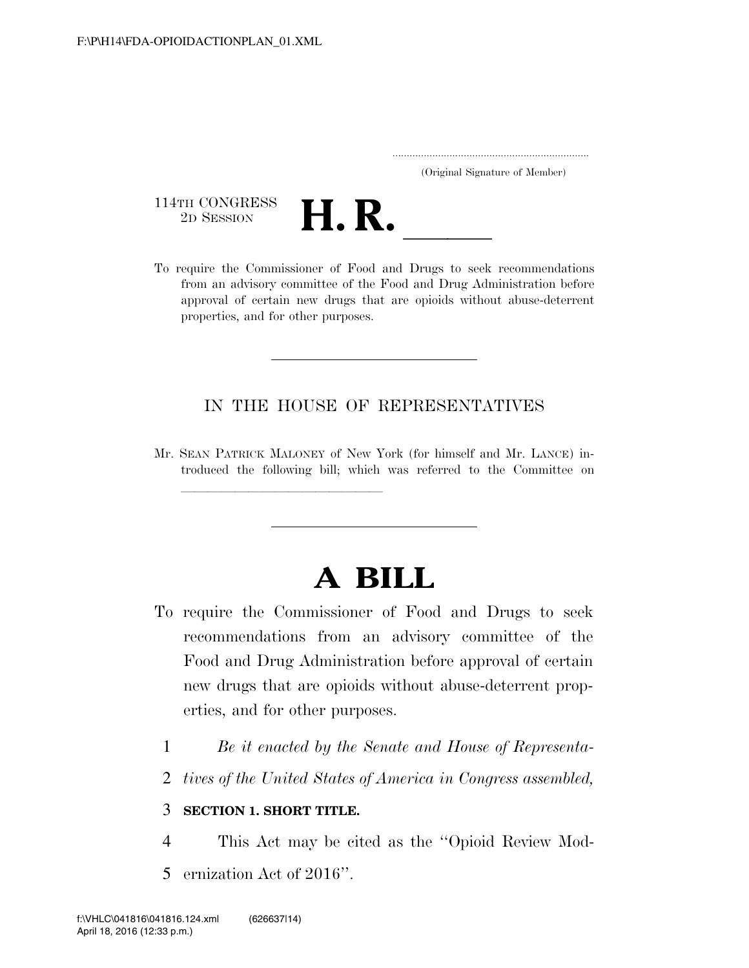|  | (Original Signature of Member) |  |
|--|--------------------------------|--|

114TH CONGRESS<br>2D SESSION



114TH CONGRESS<br>
2D SESSION<br>
To require the Commissioner of Food and Drugs to seek recommendations from an advisory committee of the Food and Drug Administration before approval of certain new drugs that are opioids without abuse-deterrent properties, and for other purposes.

### IN THE HOUSE OF REPRESENTATIVES

Mr. SEAN PATRICK MALONEY of New York (for himself and Mr. LANCE) introduced the following bill; which was referred to the Committee on

# **A BILL**

- To require the Commissioner of Food and Drugs to seek recommendations from an advisory committee of the Food and Drug Administration before approval of certain new drugs that are opioids without abuse-deterrent properties, and for other purposes.
	- 1 *Be it enacted by the Senate and House of Representa-*
	- 2 *tives of the United States of America in Congress assembled,*

#### 3 **SECTION 1. SHORT TITLE.**

llland and a state of the state of the state of the state of the state of the state of the state of the state o

- 4 This Act may be cited as the ''Opioid Review Mod-
- 5 ernization Act of 2016''.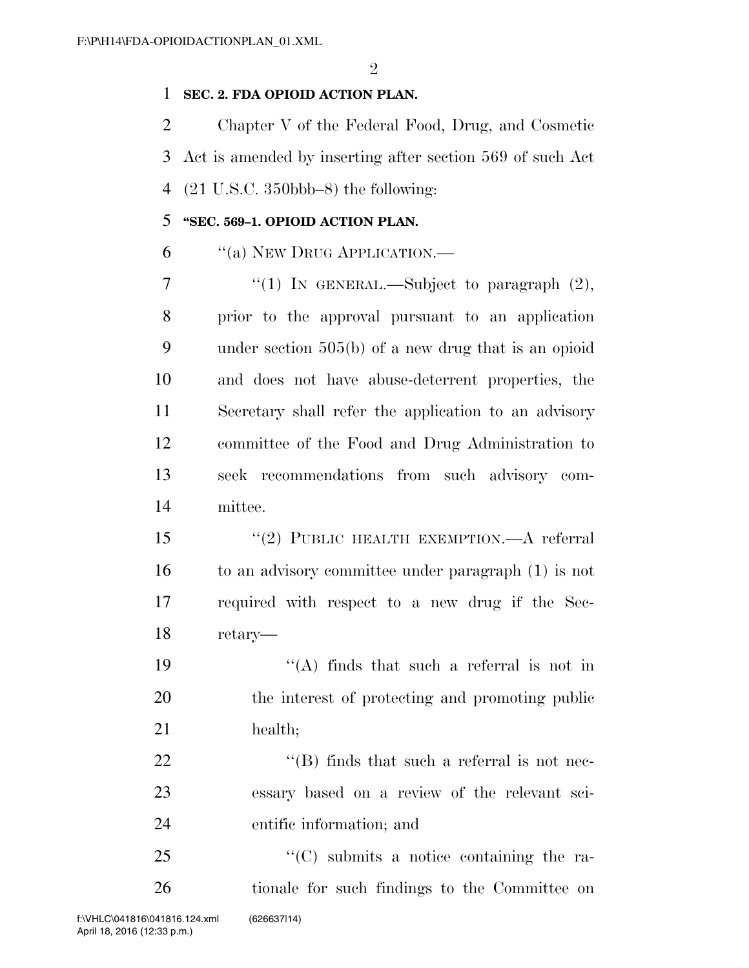#### **SEC. 2. FDA OPIOID ACTION PLAN.**

 Chapter V of the Federal Food, Drug, and Cosmetic Act is amended by inserting after section 569 of such Act (21 U.S.C. 350bbb–8) the following:

#### **''SEC. 569–1. OPIOID ACTION PLAN.**

''(a) NEW DRUG APPLICATION.—

 $\frac{1}{1}$  In GENERAL.—Subject to paragraph  $(2)$ , prior to the approval pursuant to an application under section 505(b) of a new drug that is an opioid and does not have abuse-deterrent properties, the Secretary shall refer the application to an advisory committee of the Food and Drug Administration to seek recommendations from such advisory com-mittee.

 ''(2) PUBLIC HEALTH EXEMPTION.—A referral to an advisory committee under paragraph (1) is not required with respect to a new drug if the Sec-retary—

19  $\langle (A)$  finds that such a referral is not in the interest of protecting and promoting public 21 health;

22  $\text{``(B)}$  finds that such a referral is not nec- essary based on a review of the relevant sci-entific information; and

25 "'(C) submits a notice containing the ra-tionale for such findings to the Committee on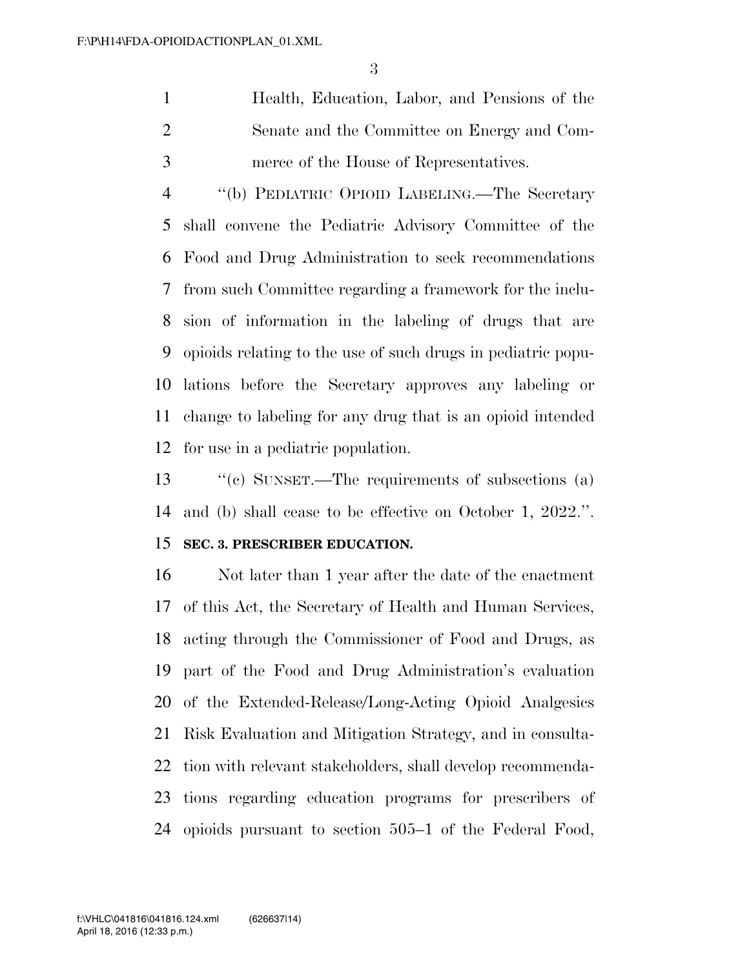Health, Education, Labor, and Pensions of the Senate and the Committee on Energy and Com-merce of the House of Representatives.

 ''(b) PEDIATRIC OPIOID LABELING.—The Secretary shall convene the Pediatric Advisory Committee of the Food and Drug Administration to seek recommendations from such Committee regarding a framework for the inclu- sion of information in the labeling of drugs that are opioids relating to the use of such drugs in pediatric popu- lations before the Secretary approves any labeling or change to labeling for any drug that is an opioid intended for use in a pediatric population.

 ''(c) SUNSET.—The requirements of subsections (a) and (b) shall cease to be effective on October 1, 2022.''.

#### **SEC. 3. PRESCRIBER EDUCATION.**

 Not later than 1 year after the date of the enactment of this Act, the Secretary of Health and Human Services, acting through the Commissioner of Food and Drugs, as part of the Food and Drug Administration's evaluation of the Extended-Release/Long-Acting Opioid Analgesics Risk Evaluation and Mitigation Strategy, and in consulta- tion with relevant stakeholders, shall develop recommenda- tions regarding education programs for prescribers of opioids pursuant to section 505–1 of the Federal Food,